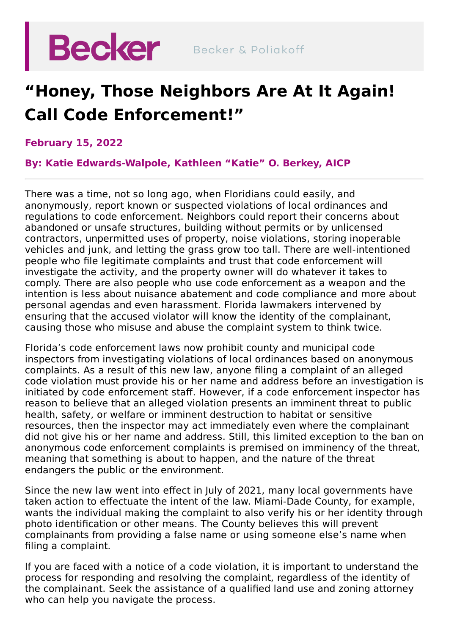

## **"Honey, Those Neighbors Are At It Again! Call Code Enforcement!"**

## **February 15, 2022**

**By: Katie Edwards-Walpole, [Kathleen](https://beckerlawyers.com/professionals/kathleen-o-berkey/) "Katie" O. Berkey, AICP**

There was a time, not so long ago, when Floridians could easily, and anonymously, report known or suspected violations of local ordinances and regulations to code enforcement. Neighbors could report their concerns about abandoned or unsafe structures, building without permits or by unlicensed contractors, unpermitted uses of property, noise violations, storing inoperable vehicles and junk, and letting the grass grow too tall. There are well-intentioned people who file legitimate complaints and trust that code enforcement will investigate the activity, and the property owner will do whatever it takes to comply. There are also people who use code enforcement as a weapon and the intention is less about nuisance abatement and code compliance and more about personal agendas and even harassment. Florida lawmakers intervened by ensuring that the accused violator will know the identity of the complainant, causing those who misuse and abuse the complaint system to think twice.

Florida's code enforcement laws now prohibit county and municipal code inspectors from investigating violations of local ordinances based on anonymous complaints. As a result of this new law, anyone filing a complaint of an alleged code violation must provide his or her name and address before an investigation is initiated by code enforcement staff. However, if a code enforcement inspector has reason to believe that an alleged violation presents an imminent threat to public health, safety, or welfare or imminent destruction to habitat or sensitive resources, then the inspector may act immediately even where the complainant did not give his or her name and address. Still, this limited exception to the ban on anonymous code enforcement complaints is premised on imminency of the threat, meaning that something is about to happen, and the nature of the threat endangers the public or the environment.

Since the new law went into effect in July of 2021, many local governments have taken action to effectuate the intent of the law. Miami-Dade County, for example, wants the individual making the complaint to also verify his or her identity through photo identification or other means. The County believes this will prevent complainants from providing a false name or using someone else's name when filing a complaint.

If you are faced with a notice of a code violation, it is important to understand the process for responding and resolving the complaint, regardless of the identity of the complainant. Seek the assistance of a qualified land use and zoning attorney who can help you navigate the process.